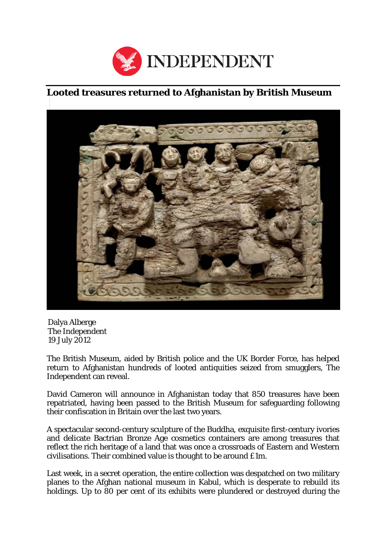

## **Looted treasures returned to Afghanistan by British Museum**



Dalya Alberge The *Independent* 19 July 2012

The British Museum, aided by British police and the UK Border Force, has helped return to Afghanistan hundreds of looted antiquities seized from smugglers, The Independent can reveal.

David Cameron will announce in Afghanistan today that 850 treasures have been repatriated, having been passed to the British Museum for safeguarding following their confiscation in Britain over the last two years.

A spectacular second-century sculpture of the Buddha, exquisite first-century ivories and delicate Bactrian Bronze Age cosmetics containers are among treasures that reflect the rich heritage of a land that was once a crossroads of Eastern and Western civilisations. Their combined value is thought to be around £1m.

Last week, in a secret operation, the entire collection was despatched on two military planes to the Afghan national museum in Kabul, which is desperate to rebuild its holdings. Up to 80 per cent of its exhibits were plundered or destroyed during the